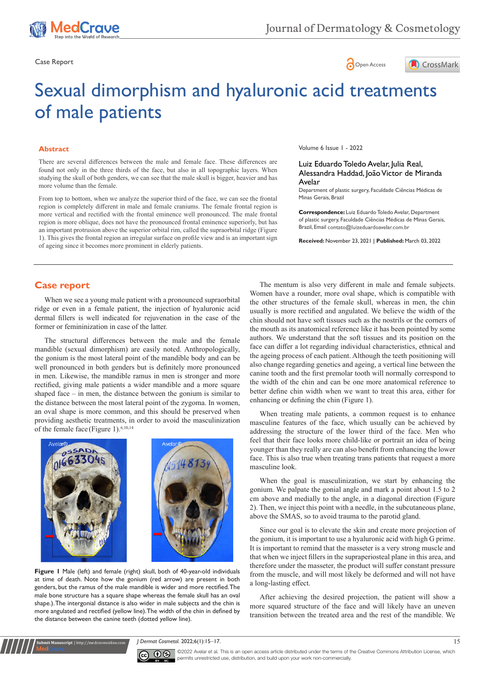





# Sexual dimorphism and hyaluronic acid treatments of male patients

### **Abstract**

There are several differences between the male and female face. These differences are found not only in the three thirds of the face, but also in all topographic layers. When studying the skull of both genders, we can see that the male skull is bigger, heavier and has more volume than the female.

From top to bottom, when we analyze the superior third of the face, we can see the frontal region is completely different in male and female craniums. The female frontal region is more vertical and rectified with the frontal eminence well pronounced. The male frontal region is more oblique, does not have the pronounced frontal eminence superiorly, but has an important protrusion above the superior orbital rim, called the supraorbital ridge (Figure 1). This gives the frontal region an irregular surface on profile view and is an important sign of ageing since it becomes more prominent in elderly patients.

Volume 6 Issue 1 - 2022

#### Luiz Eduardo Toledo Avelar, Julia Real, Alessandra Haddad, João Victor de Miranda Avelar

Department of plastic surgery, Faculdade Ciências Médicas de Minas Gerais, Brazil

**Correspondence:** Luiz Eduardo Toledo Avelar, Department of plastic surgery, Faculdade Ciências Médicas de Minas Gerais, Brazil, Email contato@luizeduardoavelar.com.br

**Received:** November 23, 2021 | **Published:** March 03, 2022

## **Case report**

When we see a young male patient with a pronounced supraorbital ridge or even in a female patient, the injection of hyaluronic acid dermal fillers is well indicated for rejuvenation in the case of the former or femininization in case of the latter.

The structural differences between the male and the female mandible (sexual dimorphism) are easily noted. Anthropologically, the gonium is the most lateral point of the mandible body and can be well pronounced in both genders but is definitely more pronounced in men. Likewise, the mandible ramus in men is stronger and more rectified, giving male patients a wider mandible and a more square shaped face – in men, the distance between the gonium is similar to the distance between the most lateral point of the zygoma. In women, an oval shape is more common, and this should be preserved when providing aesthetic treatments, in order to avoid the masculinization of the female face (Figure 1).6,10,14



**Figure 1** Male (left) and female (right) skull, both of 40-year-old individuals at time of death. Note how the gonium (red arrow) are present in both genders, but the ramus of the male mandible is wider and more rectified. The male bone structure has a square shape whereas the female skull has an oval shape.). The intergonial distance is also wider in male subjects and the chin is more angulated and rectified (yellow line). The width of the chin in defined by the distance between the canine teeth (dotted yellow line).

**Submit Manuscript** | http://medcraveonline.com

The mentum is also very different in male and female subjects. Women have a rounder, more oval shape, which is compatible with the other structures of the female skull, whereas in men, the chin usually is more rectified and angulated. We believe the width of the chin should not have soft tissues such as the nostrils or the corners of the mouth as its anatomical reference like it has been pointed by some authors. We understand that the soft tissues and its position on the face can differ a lot regarding individual characteristics, ethnical and the ageing process of each patient. Although the teeth positioning will also change regarding genetics and ageing, a vertical line between the canine tooth and the first premolar tooth will normally correspond to the width of the chin and can be one more anatomical reference to better define chin width when we want to treat this area, either for enhancing or defining the chin (Figure 1).

When treating male patients, a common request is to enhance masculine features of the face, which usually can be achieved by addressing the structure of the lower third of the face. Men who feel that their face looks more child-like or portrait an idea of being younger than they really are can also benefit from enhancing the lower face. This is also true when treating trans patients that request a more masculine look.

When the goal is masculinization, we start by enhancing the gonium. We palpate the gonial angle and mark a point about 1.5 to 2 cm above and medially to the angle, in a diagonal direction (Figure 2). Then, we inject this point with a needle, in the subcutaneous plane, above the SMAS, so to avoid trauma to the parotid gland.

Since our goal is to elevate the skin and create more projection of the gonium, it is important to use a hyaluronic acid with high G prime. It is important to remind that the masseter is a very strong muscle and that when we inject fillers in the supraperiosteal plane in this area, and therefore under the masseter, the product will suffer constant pressure from the muscle, and will most likely be deformed and will not have a long-lasting effect.

After achieving the desired projection, the patient will show a more squared structure of the face and will likely have an uneven transition between the treated area and the rest of the mandible. We

*J Dermat Cosmetol.* 2022;6(1):15‒17. 15



©2022 Avelar et al. This is an open access article distributed under the terms of the [Creative Commons Attribution License,](https://creativecommons.org/licenses/by-nc/4.0/) which permits unrestricted use, distribution, and build upon your work non-commercially.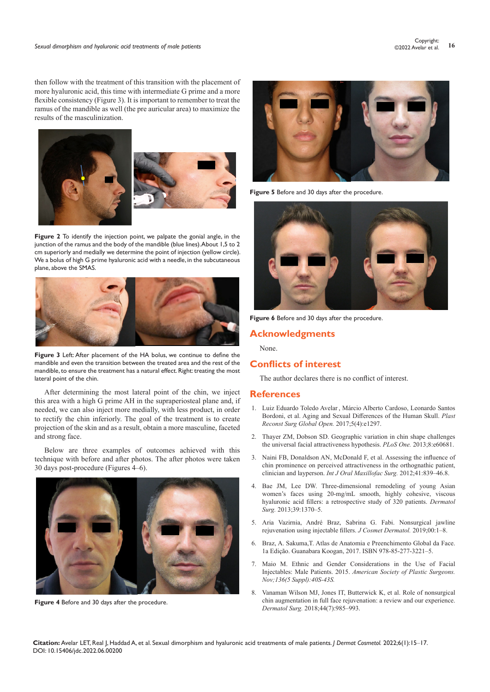then follow with the treatment of this transition with the placement of more hyaluronic acid, this time with intermediate G prime and a more flexible consistency (Figure 3). It is important to remember to treat the ramus of the mandible as well (the pre auricular area) to maximize the results of the masculinization.





**Figure 2** To identify the injection point, we palpate the gonial angle, in the junction of the ramus and the body of the mandible (blue lines). About 1,5 to 2 cm superiorly and medially we determine the point of injection (yellow circle). We a bolus of high G prime hyaluronic acid with a needle, in the subcutaneous plane, above the SMAS.



**Figure 3** Left: After placement of the HA bolus, we continue to define the mandible and even the transition between the treated area and the rest of the mandible, to ensure the treatment has a natural effect. Right: treating the most lateral point of the chin.

After determining the most lateral point of the chin, we inject this area with a high G prime AH in the supraperiosteal plane and, if needed, we can also inject more medially, with less product, in order to rectify the chin inferiorly. The goal of the treatment is to create projection of the skin and as a result, obtain a more masculine, faceted and strong face.

Below are three examples of outcomes achieved with this technique with before and after photos. The after photos were taken 30 days post-procedure (Figures 4–6).



**Figure 4** Before and 30 days after the procedure.



**Figure 5** Before and 30 days after the procedure.



Figure 6 Before and 30 days after the procedure.

## **Acknowledgments**

None.

## **Conflicts of interest**

The author declares there is no conflict of interest.

### **References**

- 1. [Luiz Eduardo Toledo Avelar](https://pubmed.ncbi.nlm.nih.gov/?term=Toledo+Avelar+LE&cauthor_id=28507860) , [Márcio Alberto Cardoso,](https://pubmed.ncbi.nlm.nih.gov/?term=Cardoso+MA&cauthor_id=28507860) [Leonardo Santos](https://pubmed.ncbi.nlm.nih.gov/?term=Santos+Bordoni+L&cauthor_id=28507860)  [Bordoni](https://pubmed.ncbi.nlm.nih.gov/?term=Santos+Bordoni+L&cauthor_id=28507860), et al. Aging and Sexual Differences of the Human Skull. *Plast Reconst Surg Global Open.* 2017;5(4):e1297.
- 2. [Thayer ZM, Dobson SD. Geographic variation in chin shape challenges](https://journals.plos.org/plosone/article?id=10.1371/journal.pone.0060681)  [the universal facial attractiveness hypothesis.](https://journals.plos.org/plosone/article?id=10.1371/journal.pone.0060681) *PLoS One.* 2013;8:e60681.
- 3. [Naini FB, Donaldson AN, McDonald F, et al. Assessing the influence of](https://pubmed.ncbi.nlm.nih.gov/22340990/)  [chin prominence on perceived attractiveness in the orthognathic patient,](https://pubmed.ncbi.nlm.nih.gov/22340990/)  clinician and layperson. *[Int J Oral Maxillofac Surg.](https://pubmed.ncbi.nlm.nih.gov/22340990/)* 2012;41:839–46.8.
- 4. [Bae JM, Lee DW. Three-dimensional remodeling of young Asian](https://pubmed.ncbi.nlm.nih.gov/23647649/)  [women's faces using 20-mg/mL smooth, highly cohesive, viscous](https://pubmed.ncbi.nlm.nih.gov/23647649/)  [hyaluronic acid fillers: a retrospective study of 320 patients.](https://pubmed.ncbi.nlm.nih.gov/23647649/) *Dermatol Surg.* [2013;39:1370–5.](https://pubmed.ncbi.nlm.nih.gov/23647649/)
- 5. [Aria Vazirnia, André Braz, Sabrina G. Fabi. Nonsurgical jawline](https://onlinelibrary.wiley.com/doi/abs/10.1111/jocd.13277)  [rejuvenation using injectable fillers.](https://onlinelibrary.wiley.com/doi/abs/10.1111/jocd.13277) *J Cosmet Dermatol.* 2019;00:1–8.
- 6. [Braz, A. Sakuma,T. Atlas de Anatomia e Preenchimento Global da Face.](https://www.amazon.com/Anatomia-Preenchimento-Global-Portugues-Brasil/dp/8527732211)  [1a Edição. Guanabara Koogan, 2017. ISBN 978-85-277-3221](https://www.amazon.com/Anatomia-Preenchimento-Global-Portugues-Brasil/dp/8527732211)–5.
- 7. [Maio M. Ethnic and Gender Considerations in the Use of Facial](https://pubmed.ncbi.nlm.nih.gov/26441109/)  Injectables: Male Patients. 2015. *[American Society of Plastic Surgeons.](https://pubmed.ncbi.nlm.nih.gov/26441109/)  [Nov;136\(5 Suppl\):40S-43S](https://pubmed.ncbi.nlm.nih.gov/26441109/).*
- 8. [Vanaman Wilson MJ, Jones IT, Butterwick K, et al. Role of nonsurgical](https://pubmed.ncbi.nlm.nih.gov/29309340/)  [chin augmentation in full face rejuvenation: a review and our experience.](https://pubmed.ncbi.nlm.nih.gov/29309340/)  *Dermatol Surg.* [2018;44\(7\):985–993.](https://pubmed.ncbi.nlm.nih.gov/29309340/)